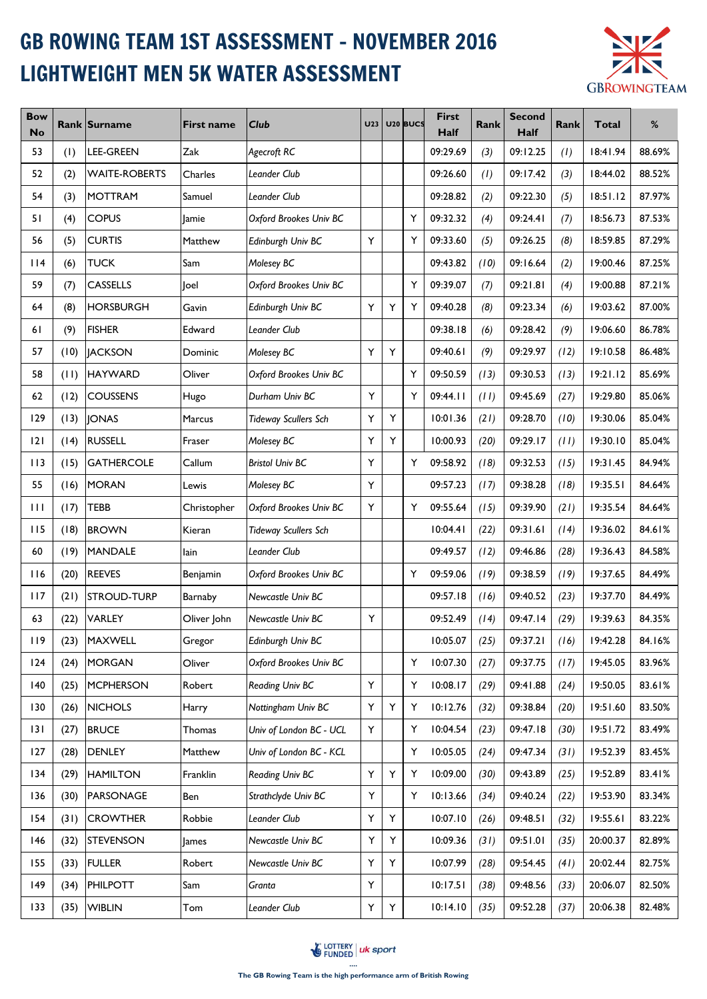## GB ROWING TEAM 1ST ASSESSMENT - NOVEMBER 2016 LIGHTWEIGHT MEN 5K WATER ASSESSMENT



| <b>Bow</b><br><b>No</b> |      | Rank Surname         | <b>First name</b> | <b>Club</b>                 | U23 |   | U <sub>20</sub> BUCS | <b>First</b><br>Half | Rank | <b>Second</b><br>Half | Rank | Total    | %      |
|-------------------------|------|----------------------|-------------------|-----------------------------|-----|---|----------------------|----------------------|------|-----------------------|------|----------|--------|
| 53                      | (1)  | <b>LEE-GREEN</b>     | Zak               | Agecroft RC                 |     |   |                      | 09:29.69             | (3)  | 09:12.25              | (1)  | 18:41.94 | 88.69% |
| 52                      | (2)  | <b>WAITE-ROBERTS</b> | Charles           | Leander Club                |     |   |                      | 09:26.60             | (1)  | 09:17.42              | (3)  | 18:44.02 | 88.52% |
| 54                      | (3)  | <b>MOTTRAM</b>       | Samuel            | Leander Club                |     |   |                      | 09:28.82             | (2)  | 09:22.30              | (5)  | 18:51.12 | 87.97% |
| 51                      | (4)  | <b>COPUS</b>         | Jamie             | Oxford Brookes Univ BC      |     |   | Y                    | 09:32.32             | (4)  | 09:24.41              | (7)  | 18:56.73 | 87.53% |
| 56                      | (5)  | <b>CURTIS</b>        | Matthew           | Edinburgh Univ BC           | Y   |   | Y                    | 09:33.60             | (5)  | 09:26.25              | (8)  | 18:59.85 | 87.29% |
| 114                     | (6)  | <b>TUCK</b>          | Sam               | Molesey BC                  |     |   |                      | 09:43.82             | (10) | 09:16.64              | (2)  | 19:00.46 | 87.25% |
| 59                      | (7)  | <b>CASSELLS</b>      | loel              | Oxford Brookes Univ BC      |     |   | Y                    | 09:39.07             | (7)  | 09:21.81              | (4)  | 19:00.88 | 87.21% |
| 64                      | (8)  | <b>HORSBURGH</b>     | Gavin             | Edinburgh Univ BC           | Y   | Υ | Y                    | 09:40.28             | (8)  | 09:23.34              | (6)  | 19:03.62 | 87.00% |
| 61                      | (9)  | <b>FISHER</b>        | Edward            | Leander Club                |     |   |                      | 09:38.18             | (6)  | 09:28.42              | (9)  | 19:06.60 | 86.78% |
| 57                      | (10) | <b>JACKSON</b>       | Dominic           | Molesey BC                  | Y   | Υ |                      | 09:40.61             | (9)  | 09:29.97              | (12) | 19:10.58 | 86.48% |
| 58                      | (11) | <b>HAYWARD</b>       | Oliver            | Oxford Brookes Univ BC      |     |   | Y                    | 09:50.59             | (13) | 09:30.53              | (13) | 19:21.12 | 85.69% |
| 62                      | (12) | <b>COUSSENS</b>      | Hugo              | Durham Univ BC              | Y   |   | Y                    | 09:44.11             | (11) | 09:45.69              | (27) | 19:29.80 | 85.06% |
| 129                     | (13) | <b>JONAS</b>         | Marcus            | <b>Tideway Scullers Sch</b> | Y   | Υ |                      | 10:01.36             | (21) | 09:28.70              | (10) | 19:30.06 | 85.04% |
| 2                       | (14) | <b>RUSSELL</b>       | Fraser            | Molesey BC                  | Y   | Y |                      | 10:00.93             | (20) | 09:29.17              | (11) | 19:30.10 | 85.04% |
| 113                     | (15) | <b>GATHERCOLE</b>    | Callum            | <b>Bristol Univ BC</b>      | Y   |   | Υ                    | 09:58.92             | (18) | 09:32.53              | (15) | 19:31.45 | 84.94% |
| 55                      | (16) | <b>MORAN</b>         | Lewis             | Molesey BC                  | Y   |   |                      | 09:57.23             | (17) | 09:38.28              | (18) | 19:35.51 | 84.64% |
| $\mathbf{H}$            | (17) | <b>TEBB</b>          | Christopher       | Oxford Brookes Univ BC      | Y   |   | Υ                    | 09:55.64             | (15) | 09:39.90              | (21) | 19:35.54 | 84.64% |
| 115                     | (18) | <b>BROWN</b>         | Kieran            | <b>Tideway Scullers Sch</b> |     |   |                      | 10:04.41             | (22) | 09:31.61              | (14) | 19:36.02 | 84.61% |
| 60                      | (19) | <b>MANDALE</b>       | lain              | Leander Club                |     |   |                      | 09:49.57             | (12) | 09:46.86              | (28) | 19:36.43 | 84.58% |
| 116                     | (20) | <b>REEVES</b>        | Benjamin          | Oxford Brookes Univ BC      |     |   | Y                    | 09:59.06             | (19) | 09:38.59              | (19) | 19:37.65 | 84.49% |
| 117                     | (21) | <b>STROUD-TURP</b>   | Barnaby           | Newcastle Univ BC           |     |   |                      | 09:57.18             | (16) | 09:40.52              | (23) | 19:37.70 | 84.49% |
| 63                      | (22) | <b>VARLEY</b>        | Oliver John       | Newcastle Univ BC           | Υ   |   |                      | 09:52.49             | (14) | 09:47.14              | (29) | 19:39.63 | 84.35% |
| 119                     | (23) | MAXWELL              | Gregor            | Edinburgh Univ BC           |     |   |                      | 10:05.07             | (25) | 09:37.21              | (16) | 19:42.28 | 84.16% |
| 124                     | (24) | <b>MORGAN</b>        | Oliver            | Oxford Brookes Univ BC      |     |   | Υ                    | 10:07.30             | (27) | 09:37.75              | (17) | 19:45.05 | 83.96% |
| 140                     | (25) | <b>MCPHERSON</b>     | Robert            | Reading Univ BC             | Y.  |   | Υ                    | 10:08.17             | (29) | 09:41.88              | (24) | 19:50.05 | 83.61% |
| 130                     | (26) | <b>NICHOLS</b>       | Harry             | Nottingham Univ BC          | Y   | Υ | Υ                    | 10:12.76             | (32) | 09:38.84              | (20) | 19:51.60 | 83.50% |
| 3                       | (27) | <b>BRUCE</b>         | Thomas            | Univ of London BC - UCL     | Y   |   | Υ                    | 10:04.54             | (23) | 09:47.18              | (30) | 19:51.72 | 83.49% |
| 127                     | (28) | <b>DENLEY</b>        | Matthew           | Univ of London BC - KCL     |     |   | Υ                    | 10:05.05             | (24) | 09:47.34              | (31) | 19:52.39 | 83.45% |
| 134                     | (29) | <b>HAMILTON</b>      | Franklin          | Reading Univ BC             | Y   | Υ | Υ                    | 10:09.00             | (30) | 09:43.89              | (25) | 19:52.89 | 83.41% |
| 136                     | (30) | <b>PARSONAGE</b>     | Ben               | Strathclyde Univ BC         | Y.  |   | Υ                    | 10:13.66             | (34) | 09:40.24              | (22) | 19:53.90 | 83.34% |
| 154                     | (31) | <b>CROWTHER</b>      | Robbie            | Leander Club                | Y   | Υ |                      | 10:07.10             | (26) | 09:48.51              | (32) | 19:55.61 | 83.22% |
| 146                     | (32) | <b>STEVENSON</b>     | ames              | Newcastle Univ BC           | Υ   | Υ |                      | 10:09.36             | (31) | 09:51.01              | (35) | 20:00.37 | 82.89% |
| 155                     | (33) | <b>FULLER</b>        | Robert            | Newcastle Univ BC           | Y   | Υ |                      | 10:07.99             | (28) | 09:54.45              | (41) | 20:02.44 | 82.75% |
| 149                     | (34) | <b>PHILPOTT</b>      | Sam               | Granta                      | Y   |   |                      | 10:17.51             | (38) | 09:48.56              | (33) | 20:06.07 | 82.50% |
| 133                     | (35) | <b>WIBLIN</b>        | Tom               | Leander Club                | Y.  | Y |                      | 10:14.10             | (35) | 09:52.28              | (37) | 20:06.38 | 82.48% |